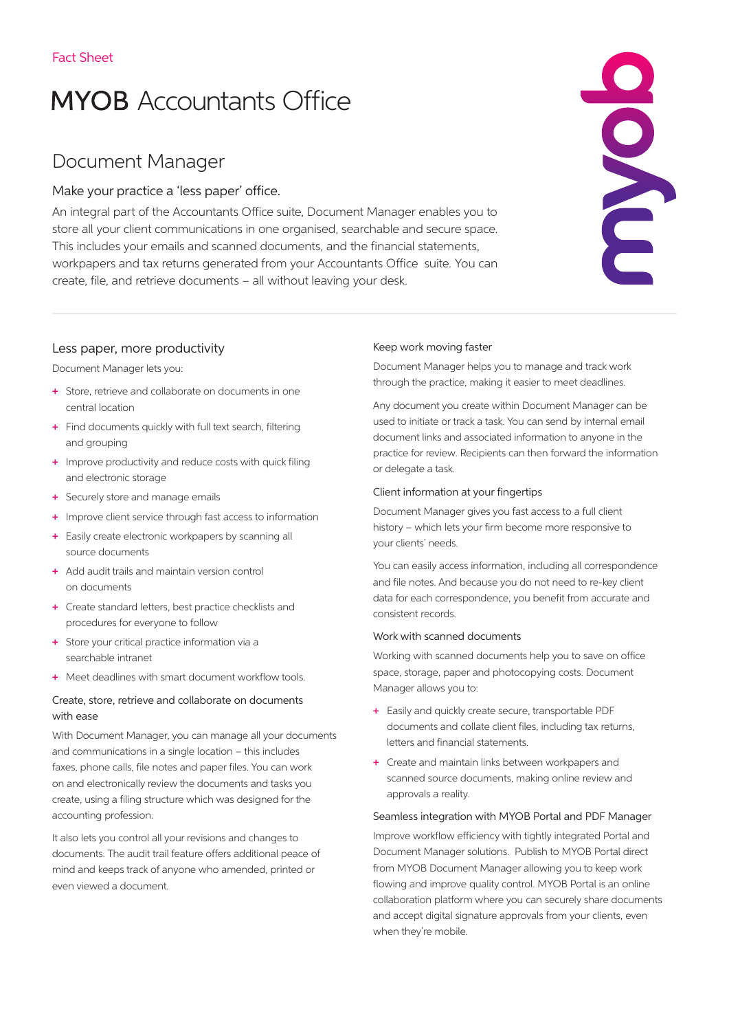# **MYOB** Accountants Office

# Document Manager

# Make your practice a 'less paper' office.

An integral part of the Accountants Office suite, Document Manager enables you to store all your client communications in one organised, searchable and secure space. This includes your emails and scanned documents, and the financial statements, workpapers and tax returns generated from your Accountants Office suite. You can create, file, and retrieve documents – all without leaving your desk.



# Less paper, more productivity

Document Manager lets you:

- + Store, retrieve and collaborate on documents in one central location
- + Find documents quickly with full text search, filtering and grouping
- + Improve productivity and reduce costs with quick filing and electronic storage
- + Securely store and manage emails
- + Improve client service through fast access to information
- + Easily create electronic workpapers by scanning all source documents
- + Add audit trails and maintain version control on documents
- + Create standard letters, best practice checklists and procedures for everyone to follow
- + Store your critical practice information via a searchable intranet
- + Meet deadlines with smart document workflow tools.

# Create, store, retrieve and collaborate on documents with ease

With Document Manager, you can manage all your documents and communications in a single location – this includes faxes, phone calls, file notes and paper files. You can work on and electronically review the documents and tasks you create, using a filing structure which was designed for the accounting profession.

It also lets you control all your revisions and changes to documents. The audit trail feature offers additional peace of mind and keeps track of anyone who amended, printed or even viewed a document.

# Keep work moving faster

Document Manager helps you to manage and track work through the practice, making it easier to meet deadlines.

Any document you create within Document Manager can be used to initiate or track a task. You can send by internal email document links and associated information to anyone in the practice for review. Recipients can then forward the information or delegate a task.

# Client information at your fingertips

Document Manager gives you fast access to a full client history – which lets your firm become more responsive to your clients' needs.

You can easily access information, including all correspondence and file notes. And because you do not need to re-key client data for each correspondence, you benefit from accurate and consistent records.

## Work with scanned documents

Working with scanned documents help you to save on office space, storage, paper and photocopying costs. Document Manager allows you to:

- + Easily and quickly create secure, transportable PDF documents and collate client files, including tax returns, letters and financial statements.
- + Create and maintain links between workpapers and scanned source documents, making online review and approvals a reality.

## Seamless integration with MYOB Portal and PDF Manager

Improve workflow efficiency with tightly integrated Portal and Document Manager solutions. Publish to MYOB Portal direct from MYOB Document Manager allowing you to keep work flowing and improve quality control. MYOB Portal is an online collaboration platform where you can securely share documents and accept digital signature approvals from your clients, even when they're mobile.